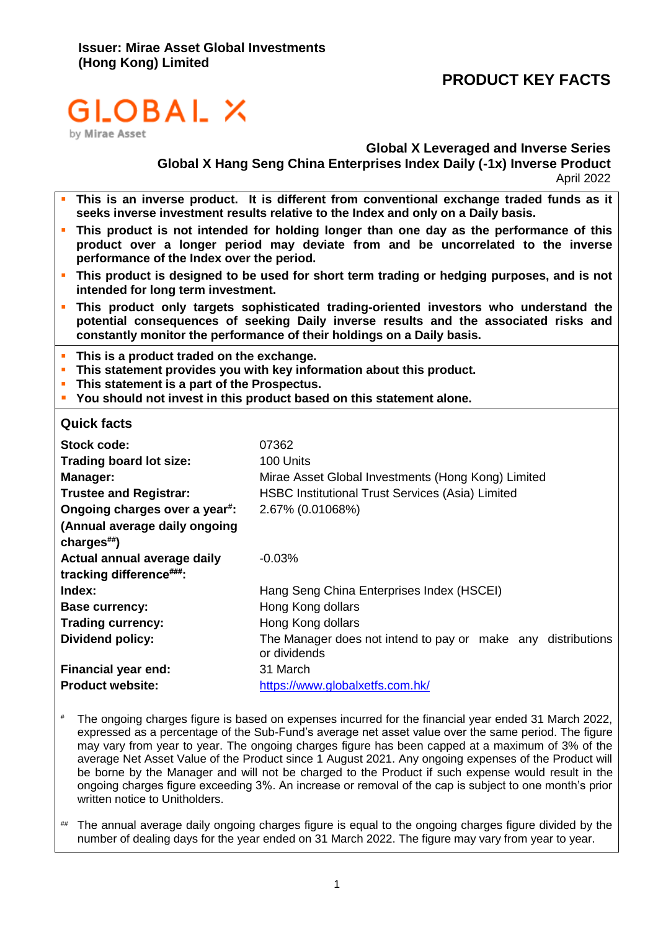# **PRODUCT KEY FACTS**

# GLOBAL X

by Mirae Asset

# **Global X Leveraged and Inverse Series**

**Global X Hang Seng China Enterprises Index Daily (-1x) Inverse Product** April 2022

- This is an inverse product. It is different from conventional exchange traded funds as it **seeks inverse investment results relative to the Index and only on a Daily basis.**
- **.** This product is not intended for holding longer than one day as the performance of this **product over a longer period may deviate from and be uncorrelated to the inverse performance of the Index over the period.**
- **·** This product is designed to be used for short term trading or hedging purposes, and is not **intended for long term investment.**
- This product only targets sophisticated trading-oriented investors who understand the **potential consequences of seeking Daily inverse results and the associated risks and constantly monitor the performance of their holdings on a Daily basis.**
- **This is a product traded on the exchange.**
- **EXTER 15 In Statement provides you with key information about this product.**
- **This statement is a part of the Prospectus.**
- **You should not invest in this product based on this statement alone.**

#### **Quick facts**

| Stock code:<br><b>Trading board lot size:</b><br>Manager:<br><b>Trustee and Registrar:</b><br>Ongoing charges over a year <sup>#</sup> :<br>(Annual average daily ongoing<br>charges $\stackrel{\text{\tiny{def}}}{\text{\tiny{}}\text{\tiny{}}\text{\tiny{}}}$ | 07362<br>100 Units<br>Mirae Asset Global Investments (Hong Kong) Limited<br><b>HSBC Institutional Trust Services (Asia) Limited</b><br>2.67% (0.01068%) |  |
|-----------------------------------------------------------------------------------------------------------------------------------------------------------------------------------------------------------------------------------------------------------------|---------------------------------------------------------------------------------------------------------------------------------------------------------|--|
| Actual annual average daily                                                                                                                                                                                                                                     | $-0.03%$                                                                                                                                                |  |
| tracking difference###:                                                                                                                                                                                                                                         |                                                                                                                                                         |  |
| Index:                                                                                                                                                                                                                                                          | Hang Seng China Enterprises Index (HSCEI)                                                                                                               |  |
| <b>Base currency:</b>                                                                                                                                                                                                                                           | Hong Kong dollars                                                                                                                                       |  |
| <b>Trading currency:</b>                                                                                                                                                                                                                                        | Hong Kong dollars                                                                                                                                       |  |
| Dividend policy:                                                                                                                                                                                                                                                | The Manager does not intend to pay or make any distributions<br>or dividends                                                                            |  |
|                                                                                                                                                                                                                                                                 |                                                                                                                                                         |  |
| Financial year end:                                                                                                                                                                                                                                             | 31 March                                                                                                                                                |  |
| <b>Product website:</b>                                                                                                                                                                                                                                         | https://www.globalxetfs.com.hk/                                                                                                                         |  |

- # The ongoing charges figure is based on expenses incurred for the financial year ended 31 March 2022, expressed as a percentage of the Sub-Fund's average net asset value over the same period. The figure may vary from year to year. The ongoing charges figure has been capped at a maximum of 3% of the average Net Asset Value of the Product since 1 August 2021. Any ongoing expenses of the Product will be borne by the Manager and will not be charged to the Product if such expense would result in the ongoing charges figure exceeding 3%. An increase or removal of the cap is subject to one month's prior written notice to Unitholders.
- ## The annual average daily ongoing charges figure is equal to the ongoing charges figure divided by the number of dealing days for the year ended on 31 March 2022. The figure may vary from year to year.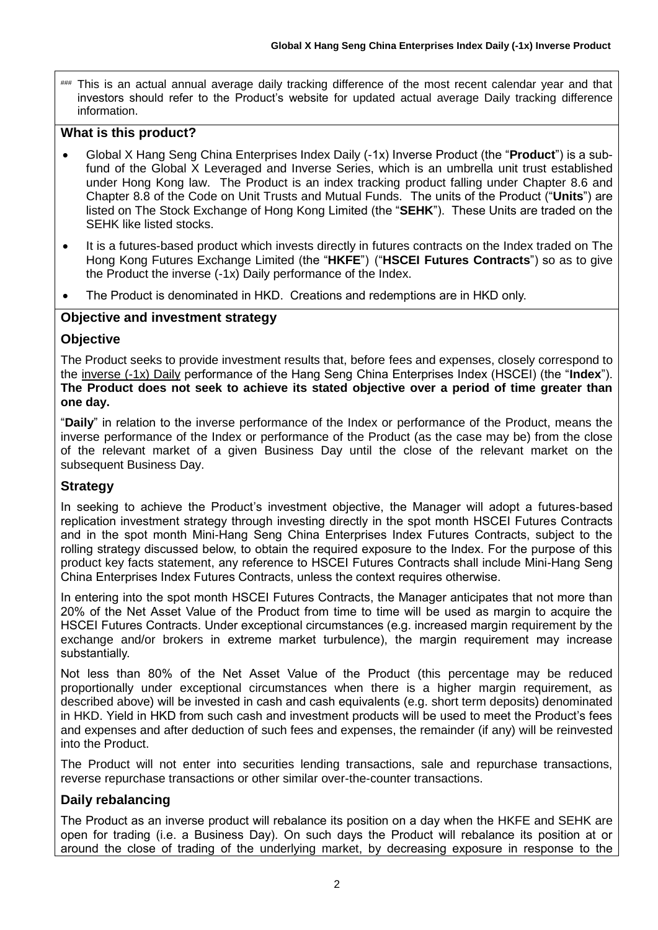This is an actual annual average daily tracking difference of the most recent calendar year and that investors should refer to the Product's website for updated actual average Daily tracking difference information.

# **What is this product?**

- Global X Hang Seng China Enterprises Index Daily (-1x) Inverse Product (the "**Product**") is a subfund of the Global X Leveraged and Inverse Series, which is an umbrella unit trust established under Hong Kong law. The Product is an index tracking product falling under Chapter 8.6 and Chapter 8.8 of the Code on Unit Trusts and Mutual Funds. The units of the Product ("**Units**") are listed on The Stock Exchange of Hong Kong Limited (the "**SEHK**"). These Units are traded on the SEHK like listed stocks.
- It is a futures-based product which invests directly in futures contracts on the Index traded on The Hong Kong Futures Exchange Limited (the "**HKFE**") ("**HSCEI Futures Contracts**") so as to give the Product the inverse (-1x) Daily performance of the Index.
- The Product is denominated in HKD. Creations and redemptions are in HKD only.

# **Objective and investment strategy**

# **Objective**

The Product seeks to provide investment results that, before fees and expenses, closely correspond to the inverse (-1x) Daily performance of the Hang Seng China Enterprises Index (HSCEI) (the "**Index**"). **The Product does not seek to achieve its stated objective over a period of time greater than one day.**

"**Daily**" in relation to the inverse performance of the Index or performance of the Product, means the inverse performance of the Index or performance of the Product (as the case may be) from the close of the relevant market of a given Business Day until the close of the relevant market on the subsequent Business Day.

# **Strategy**

In seeking to achieve the Product's investment objective, the Manager will adopt a futures-based replication investment strategy through investing directly in the spot month HSCEI Futures Contracts and in the spot month Mini-Hang Seng China Enterprises Index Futures Contracts, subject to the rolling strategy discussed below, to obtain the required exposure to the Index. For the purpose of this product key facts statement, any reference to HSCEI Futures Contracts shall include Mini-Hang Seng China Enterprises Index Futures Contracts, unless the context requires otherwise.

In entering into the spot month HSCEI Futures Contracts, the Manager anticipates that not more than 20% of the Net Asset Value of the Product from time to time will be used as margin to acquire the HSCEI Futures Contracts. Under exceptional circumstances (e.g. increased margin requirement by the exchange and/or brokers in extreme market turbulence), the margin requirement may increase substantially.

Not less than 80% of the Net Asset Value of the Product (this percentage may be reduced proportionally under exceptional circumstances when there is a higher margin requirement, as described above) will be invested in cash and cash equivalents (e.g. short term deposits) denominated in HKD. Yield in HKD from such cash and investment products will be used to meet the Product's fees and expenses and after deduction of such fees and expenses, the remainder (if any) will be reinvested into the Product.

The Product will not enter into securities lending transactions, sale and repurchase transactions, reverse repurchase transactions or other similar over-the-counter transactions.

# **Daily rebalancing**

The Product as an inverse product will rebalance its position on a day when the HKFE and SEHK are open for trading (i.e. a Business Day). On such days the Product will rebalance its position at or around the close of trading of the underlying market, by decreasing exposure in response to the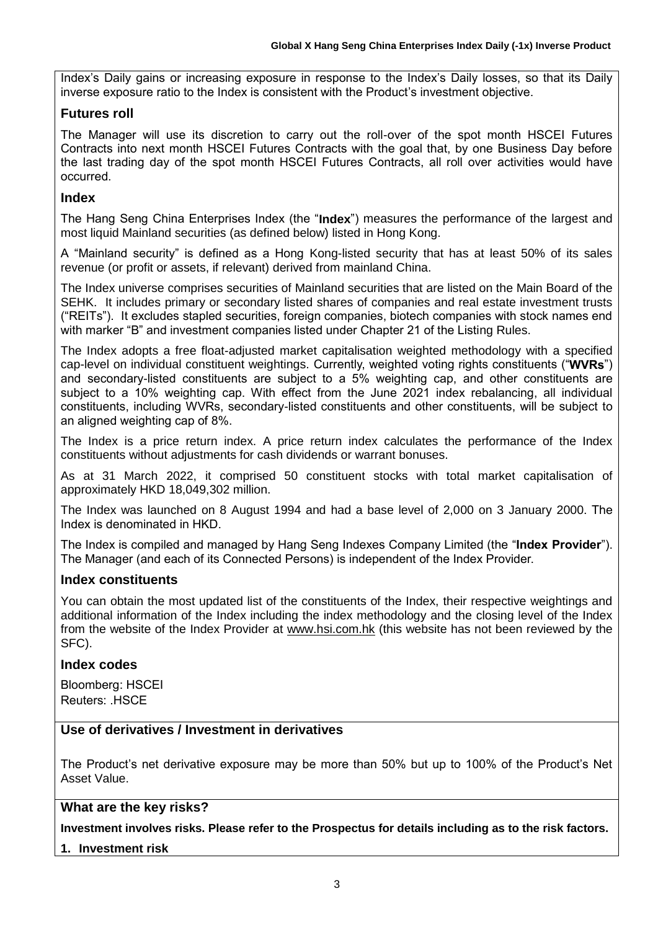Index's Daily gains or increasing exposure in response to the Index's Daily losses, so that its Daily inverse exposure ratio to the Index is consistent with the Product's investment objective.

#### **Futures roll**

The Manager will use its discretion to carry out the roll-over of the spot month HSCEI Futures Contracts into next month HSCEI Futures Contracts with the goal that, by one Business Day before the last trading day of the spot month HSCEI Futures Contracts, all roll over activities would have occurred.

#### **Index**

The Hang Seng China Enterprises Index (the "**Index**") measures the performance of the largest and most liquid Mainland securities (as defined below) listed in Hong Kong.

A "Mainland security" is defined as a Hong Kong-listed security that has at least 50% of its sales revenue (or profit or assets, if relevant) derived from mainland China.

The Index universe comprises securities of Mainland securities that are listed on the Main Board of the SEHK. It includes primary or secondary listed shares of companies and real estate investment trusts ("REITs"). It excludes stapled securities, foreign companies, biotech companies with stock names end with marker "B" and investment companies listed under Chapter 21 of the Listing Rules.

The Index adopts a free float-adjusted market capitalisation weighted methodology with a specified cap-level on individual constituent weightings. Currently, weighted voting rights constituents ("**WVRs**") and secondary-listed constituents are subject to a 5% weighting cap, and other constituents are subject to a 10% weighting cap. With effect from the June 2021 index rebalancing, all individual constituents, including WVRs, secondary-listed constituents and other constituents, will be subject to an aligned weighting cap of 8%.

The Index is a price return index. A price return index calculates the performance of the Index constituents without adjustments for cash dividends or warrant bonuses.

As at 31 March 2022, it comprised 50 constituent stocks with total market capitalisation of approximately HKD 18,049,302 million.

The Index was launched on 8 August 1994 and had a base level of 2,000 on 3 January 2000. The Index is denominated in HKD.

The Index is compiled and managed by Hang Seng Indexes Company Limited (the "**Index Provider**"). The Manager (and each of its Connected Persons) is independent of the Index Provider.

# **Index constituents**

You can obtain the most updated list of the constituents of the Index, their respective weightings and additional information of the Index including the index methodology and the closing level of the Index from the website of the Index Provider at [www.hsi.com.hk](http://www.hsi.com.hk/) (this website has not been reviewed by the SFC).

#### **Index codes**

Bloomberg: HSCEI Reuters: .HSCE

# **Use of derivatives / Investment in derivatives**

The Product's net derivative exposure may be more than 50% but up to 100% of the Product's Net Asset Value.

#### **What are the key risks?**

**Investment involves risks. Please refer to the Prospectus for details including as to the risk factors.**

**1. Investment risk**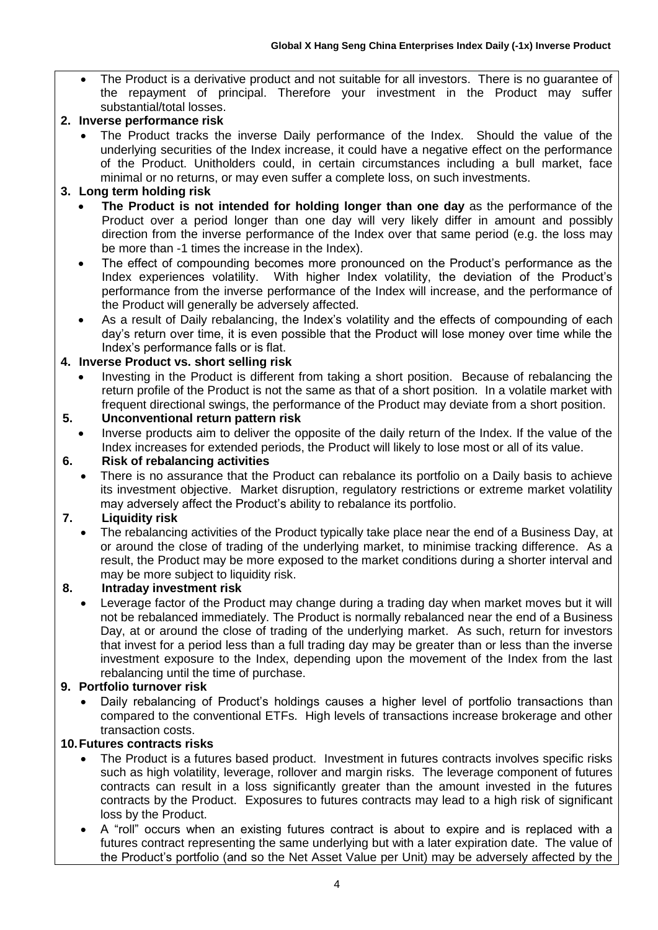The Product is a derivative product and not suitable for all investors. There is no guarantee of the repayment of principal. Therefore your investment in the Product may suffer substantial/total losses.

# **2. Inverse performance risk**

• The Product tracks the inverse Daily performance of the Index. Should the value of the underlying securities of the Index increase, it could have a negative effect on the performance of the Product. Unitholders could, in certain circumstances including a bull market, face minimal or no returns, or may even suffer a complete loss, on such investments.

# **3. Long term holding risk**

- **The Product is not intended for holding longer than one day** as the performance of the Product over a period longer than one day will very likely differ in amount and possibly direction from the inverse performance of the Index over that same period (e.g. the loss may be more than -1 times the increase in the Index).
- The effect of compounding becomes more pronounced on the Product's performance as the Index experiences volatility. With higher Index volatility, the deviation of the Product's performance from the inverse performance of the Index will increase, and the performance of the Product will generally be adversely affected.
- As a result of Daily rebalancing, the Index's volatility and the effects of compounding of each day's return over time, it is even possible that the Product will lose money over time while the Index's performance falls or is flat.

# **4. Inverse Product vs. short selling risk**

• Investing in the Product is different from taking a short position. Because of rebalancing the return profile of the Product is not the same as that of a short position. In a volatile market with frequent directional swings, the performance of the Product may deviate from a short position.

# **5. Unconventional return pattern risk**

• Inverse products aim to deliver the opposite of the daily return of the Index. If the value of the Index increases for extended periods, the Product will likely to lose most or all of its value.

# **6. Risk of rebalancing activities**

There is no assurance that the Product can rebalance its portfolio on a Daily basis to achieve its investment objective. Market disruption, regulatory restrictions or extreme market volatility may adversely affect the Product's ability to rebalance its portfolio.

# **7. Liquidity risk**

• The rebalancing activities of the Product typically take place near the end of a Business Day, at or around the close of trading of the underlying market, to minimise tracking difference. As a result, the Product may be more exposed to the market conditions during a shorter interval and may be more subject to liquidity risk.

# **8. Intraday investment risk**

Leverage factor of the Product may change during a trading day when market moves but it will not be rebalanced immediately. The Product is normally rebalanced near the end of a Business Day, at or around the close of trading of the underlying market. As such, return for investors that invest for a period less than a full trading day may be greater than or less than the inverse investment exposure to the Index, depending upon the movement of the Index from the last rebalancing until the time of purchase.

# **9. Portfolio turnover risk**

• Daily rebalancing of Product's holdings causes a higher level of portfolio transactions than compared to the conventional ETFs. High levels of transactions increase brokerage and other transaction costs.

# **10.Futures contracts risks**

- The Product is a futures based product. Investment in futures contracts involves specific risks such as high volatility, leverage, rollover and margin risks. The leverage component of futures contracts can result in a loss significantly greater than the amount invested in the futures contracts by the Product. Exposures to futures contracts may lead to a high risk of significant loss by the Product.
- A "roll" occurs when an existing futures contract is about to expire and is replaced with a futures contract representing the same underlying but with a later expiration date. The value of the Product's portfolio (and so the Net Asset Value per Unit) may be adversely affected by the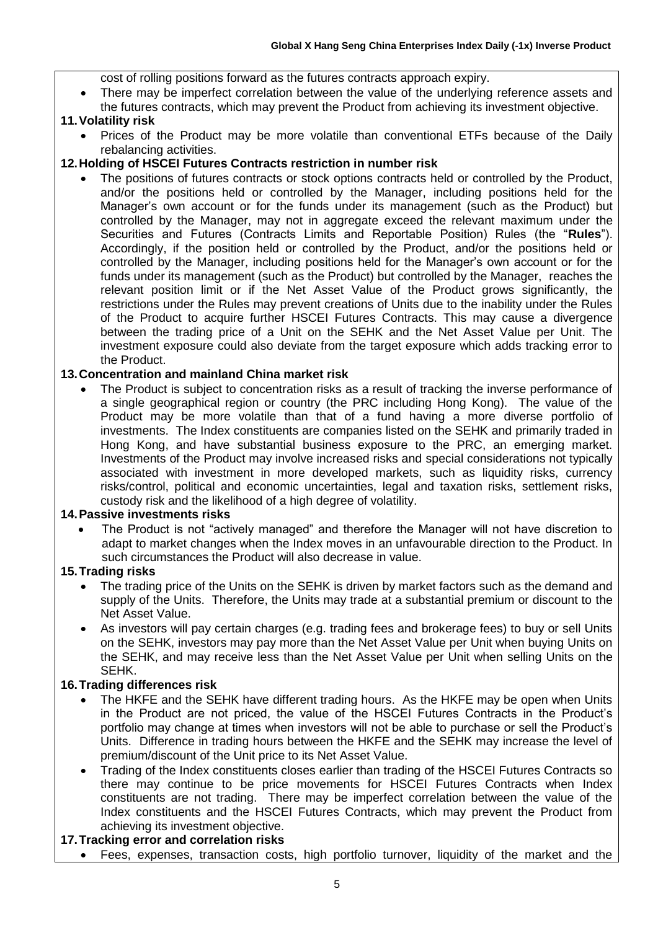cost of rolling positions forward as the futures contracts approach expiry.

There may be imperfect correlation between the value of the underlying reference assets and the futures contracts, which may prevent the Product from achieving its investment objective.

#### **11.Volatility risk**

• Prices of the Product may be more volatile than conventional ETFs because of the Daily rebalancing activities.

#### **12.Holding of HSCEI Futures Contracts restriction in number risk**

The positions of futures contracts or stock options contracts held or controlled by the Product, and/or the positions held or controlled by the Manager, including positions held for the Manager's own account or for the funds under its management (such as the Product) but controlled by the Manager, may not in aggregate exceed the relevant maximum under the Securities and Futures (Contracts Limits and Reportable Position) Rules (the "**Rules**"). Accordingly, if the position held or controlled by the Product, and/or the positions held or controlled by the Manager, including positions held for the Manager's own account or for the funds under its management (such as the Product) but controlled by the Manager, reaches the relevant position limit or if the Net Asset Value of the Product grows significantly, the restrictions under the Rules may prevent creations of Units due to the inability under the Rules of the Product to acquire further HSCEI Futures Contracts. This may cause a divergence between the trading price of a Unit on the SEHK and the Net Asset Value per Unit. The investment exposure could also deviate from the target exposure which adds tracking error to the Product.

# **13.Concentration and mainland China market risk**

The Product is subject to concentration risks as a result of tracking the inverse performance of a single geographical region or country (the PRC including Hong Kong). The value of the Product may be more volatile than that of a fund having a more diverse portfolio of investments. The Index constituents are companies listed on the SEHK and primarily traded in Hong Kong, and have substantial business exposure to the PRC, an emerging market. Investments of the Product may involve increased risks and special considerations not typically associated with investment in more developed markets, such as liquidity risks, currency risks/control, political and economic uncertainties, legal and taxation risks, settlement risks, custody risk and the likelihood of a high degree of volatility.

#### **14.Passive investments risks**

• The Product is not "actively managed" and therefore the Manager will not have discretion to adapt to market changes when the Index moves in an unfavourable direction to the Product. In such circumstances the Product will also decrease in value.

#### **15.Trading risks**

- The trading price of the Units on the SEHK is driven by market factors such as the demand and supply of the Units. Therefore, the Units may trade at a substantial premium or discount to the Net Asset Value.
- As investors will pay certain charges (e.g. trading fees and brokerage fees) to buy or sell Units on the SEHK, investors may pay more than the Net Asset Value per Unit when buying Units on the SEHK, and may receive less than the Net Asset Value per Unit when selling Units on the SEHK.

#### **16.Trading differences risk**

- The HKFE and the SEHK have different trading hours. As the HKFE may be open when Units in the Product are not priced, the value of the HSCEI Futures Contracts in the Product's portfolio may change at times when investors will not be able to purchase or sell the Product's Units. Difference in trading hours between the HKFE and the SEHK may increase the level of premium/discount of the Unit price to its Net Asset Value.
- Trading of the Index constituents closes earlier than trading of the HSCEI Futures Contracts so there may continue to be price movements for HSCEI Futures Contracts when Index constituents are not trading. There may be imperfect correlation between the value of the Index constituents and the HSCEI Futures Contracts, which may prevent the Product from achieving its investment objective.

#### **17.Tracking error and correlation risks**

• Fees, expenses, transaction costs, high portfolio turnover, liquidity of the market and the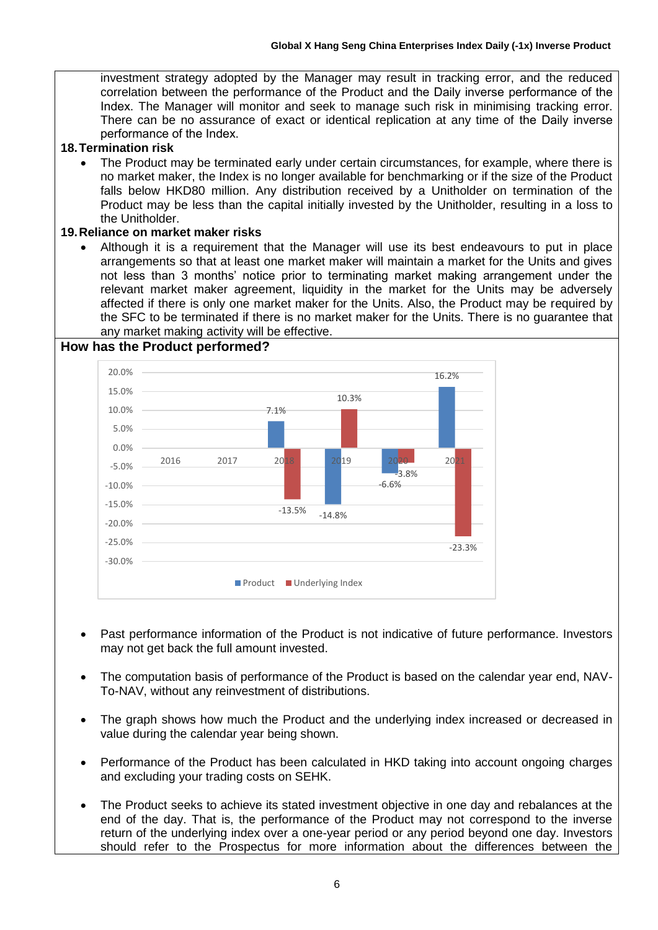investment strategy adopted by the Manager may result in tracking error, and the reduced correlation between the performance of the Product and the Daily inverse performance of the Index. The Manager will monitor and seek to manage such risk in minimising tracking error. There can be no assurance of exact or identical replication at any time of the Daily inverse performance of the Index.

#### **18.Termination risk**

• The Product may be terminated early under certain circumstances, for example, where there is no market maker, the Index is no longer available for benchmarking or if the size of the Product falls below HKD80 million. Any distribution received by a Unitholder on termination of the Product may be less than the capital initially invested by the Unitholder, resulting in a loss to the Unitholder.

#### **19.Reliance on market maker risks**

• Although it is a requirement that the Manager will use its best endeavours to put in place arrangements so that at least one market maker will maintain a market for the Units and gives not less than 3 months' notice prior to terminating market making arrangement under the relevant market maker agreement, liquidity in the market for the Units may be adversely affected if there is only one market maker for the Units. Also, the Product may be required by the SFC to be terminated if there is no market maker for the Units. There is no guarantee that any market making activity will be effective.

#### **How has the Product performed?**



- Past performance information of the Product is not indicative of future performance. Investors may not get back the full amount invested.
- The computation basis of performance of the Product is based on the calendar year end, NAV-To-NAV, without any reinvestment of distributions.
- The graph shows how much the Product and the underlying index increased or decreased in value during the calendar year being shown.
- Performance of the Product has been calculated in HKD taking into account ongoing charges and excluding your trading costs on SEHK.
- The Product seeks to achieve its stated investment objective in one day and rebalances at the end of the day. That is, the performance of the Product may not correspond to the inverse return of the underlying index over a one-year period or any period beyond one day. Investors should refer to the Prospectus for more information about the differences between the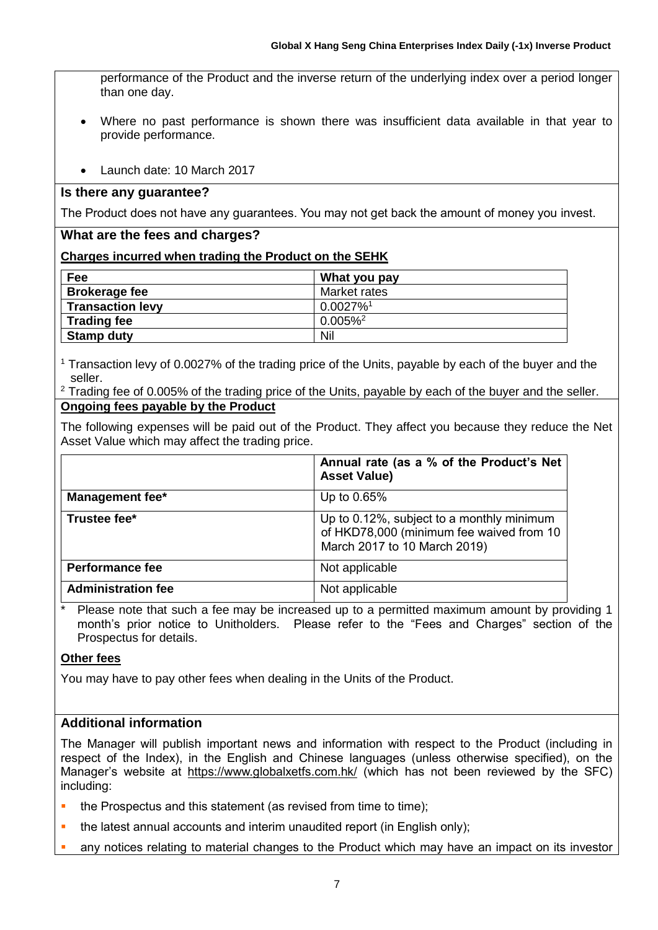performance of the Product and the inverse return of the underlying index over a period longer than one day.

- Where no past performance is shown there was insufficient data available in that year to provide performance.
- Launch date: 10 March 2017

#### **Is there any guarantee?**

The Product does not have any guarantees. You may not get back the amount of money you invest.

#### **What are the fees and charges?**

#### **Charges incurred when trading the Product on the SEHK**

| Fee                     | What you pay            |
|-------------------------|-------------------------|
| <b>Brokerage fee</b>    | Market rates            |
| <b>Transaction levy</b> | $0.0027\%$ <sup>1</sup> |
| <b>Trading fee</b>      | $0.005\%$ <sup>2</sup>  |
| <b>Stamp duty</b>       | Nil                     |

<sup>1</sup> Transaction levy of 0.0027% of the trading price of the Units, payable by each of the buyer and the seller.

 $2$  Trading fee of 0.005% of the trading price of the Units, payable by each of the buyer and the seller. **Ongoing fees payable by the Product**

The following expenses will be paid out of the Product. They affect you because they reduce the Net Asset Value which may affect the trading price.

|                           | Annual rate (as a % of the Product's Net<br><b>Asset Value)</b>                                                       |
|---------------------------|-----------------------------------------------------------------------------------------------------------------------|
| <b>Management fee*</b>    | Up to 0.65%                                                                                                           |
| Trustee fee*              | Up to 0.12%, subject to a monthly minimum<br>of HKD78,000 (minimum fee waived from 10<br>March 2017 to 10 March 2019) |
| <b>Performance fee</b>    | Not applicable                                                                                                        |
| <b>Administration fee</b> | Not applicable                                                                                                        |

Please note that such a fee may be increased up to a permitted maximum amount by providing 1 month's prior notice to Unitholders. Please refer to the "Fees and Charges" section of the Prospectus for details.

#### **Other fees**

You may have to pay other fees when dealing in the Units of the Product.

# **Additional information**

The Manager will publish important news and information with respect to the Product (including in respect of the Index), in the English and Chinese languages (unless otherwise specified), on the Manager's website at https://www.globalxetfs.com.hk/ (which has not been reviewed by the SFC) including:

- the Prospectus and this statement (as revised from time to time);
- **•** the latest annual accounts and interim unaudited report (in English only);
- any notices relating to material changes to the Product which may have an impact on its investor